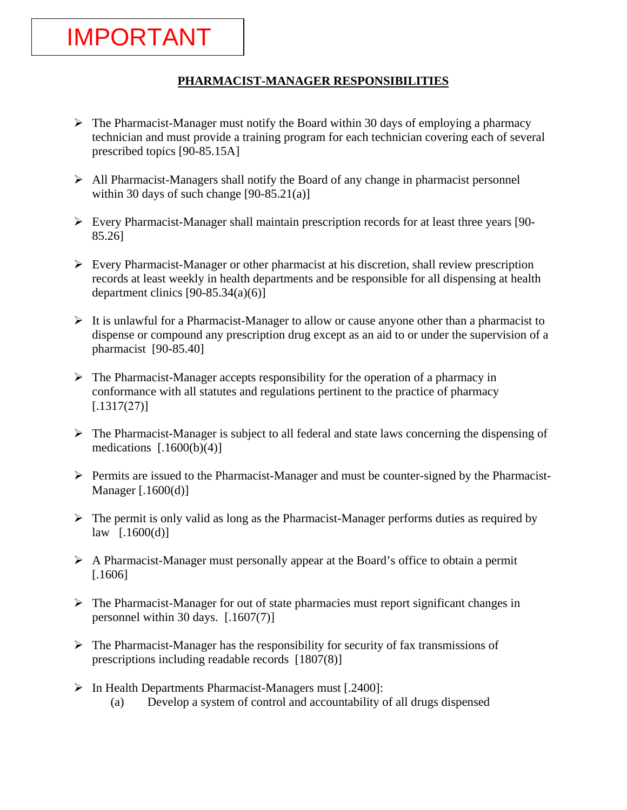IMPORTANT

- $\triangleright$  The Pharmacist-Manager must notify the Board within 30 days of employing a pharmacy technician and must provide a training program for each technician covering each of several prescribed topics [90-85.15A]
- $\triangleright$  All Pharmacist-Managers shall notify the Board of any change in pharmacist personnel within 30 days of such change  $[90-85.21(a)]$
- $\triangleright$  Every Pharmacist-Manager shall maintain prescription records for at least three years [90-85.26]
- ¾ Every Pharmacist-Manager or other pharmacist at his discretion, shall review prescription records at least weekly in health departments and be responsible for all dispensing at health department clinics  $[90-85.34(a)(6)]$
- $\triangleright$  It is unlawful for a Pharmacist-Manager to allow or cause anyone other than a pharmacist to dispense or compound any prescription drug except as an aid to or under the supervision of a pharmacist [90-85.40]
- $\triangleright$  The Pharmacist-Manager accepts responsibility for the operation of a pharmacy in conformance with all statutes and regulations pertinent to the practice of pharmacy  $[.1317(27)]$
- $\triangleright$  The Pharmacist-Manager is subject to all federal and state laws concerning the dispensing of medications  $[0.1600(b)(4)]$
- ¾ Permits are issued to the Pharmacist-Manager and must be counter-signed by the Pharmacist-Manager [.1600(d)]
- $\triangleright$  The permit is only valid as long as the Pharmacist-Manager performs duties as required by  $law$  [.1600(d)]
- $\triangleright$  A Pharmacist-Manager must personally appear at the Board's office to obtain a permit [.1606]
- $\triangleright$  The Pharmacist-Manager for out of state pharmacies must report significant changes in personnel within 30 days. [.1607(7)]
- $\triangleright$  The Pharmacist-Manager has the responsibility for security of fax transmissions of prescriptions including readable records [1807(8)]
- ¾ In Health Departments Pharmacist-Managers must [.2400]:
	- (a) Develop a system of control and accountability of all drugs dispensed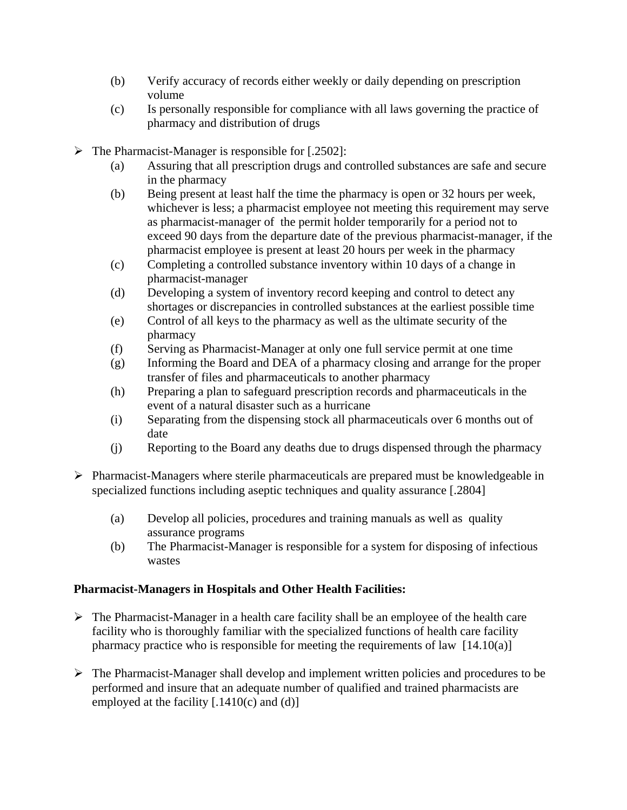- (b) Verify accuracy of records either weekly or daily depending on prescription volume
- (c) Is personally responsible for compliance with all laws governing the practice of pharmacy and distribution of drugs
- $\triangleright$  The Pharmacist-Manager is responsible for [.2502]:
	- (a) Assuring that all prescription drugs and controlled substances are safe and secure in the pharmacy
	- (b) Being present at least half the time the pharmacy is open or 32 hours per week, whichever is less; a pharmacist employee not meeting this requirement may serve as pharmacist-manager of the permit holder temporarily for a period not to exceed 90 days from the departure date of the previous pharmacist-manager, if the pharmacist employee is present at least 20 hours per week in the pharmacy
	- (c) Completing a controlled substance inventory within 10 days of a change in pharmacist-manager
	- (d) Developing a system of inventory record keeping and control to detect any shortages or discrepancies in controlled substances at the earliest possible time
	- (e) Control of all keys to the pharmacy as well as the ultimate security of the pharmacy
	- (f) Serving as Pharmacist-Manager at only one full service permit at one time
	- (g) Informing the Board and DEA of a pharmacy closing and arrange for the proper transfer of files and pharmaceuticals to another pharmacy
	- (h) Preparing a plan to safeguard prescription records and pharmaceuticals in the event of a natural disaster such as a hurricane
	- (i) Separating from the dispensing stock all pharmaceuticals over 6 months out of date
	- (j) Reporting to the Board any deaths due to drugs dispensed through the pharmacy
- ¾ Pharmacist-Managers where sterile pharmaceuticals are prepared must be knowledgeable in specialized functions including aseptic techniques and quality assurance [.2804]
	- (a) Develop all policies, procedures and training manuals as well as quality assurance programs
	- (b) The Pharmacist-Manager is responsible for a system for disposing of infectious wastes

## **Pharmacist-Managers in Hospitals and Other Health Facilities:**

- $\triangleright$  The Pharmacist-Manager in a health care facility shall be an employee of the health care facility who is thoroughly familiar with the specialized functions of health care facility pharmacy practice who is responsible for meeting the requirements of law [14.10(a)]
- $\triangleright$  The Pharmacist-Manager shall develop and implement written policies and procedures to be performed and insure that an adequate number of qualified and trained pharmacists are employed at the facility  $[0.1410(c)$  and  $(d)]$